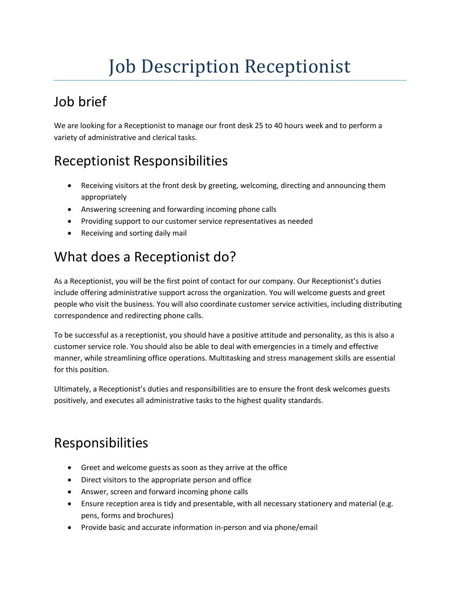# Job Description Receptionist

## Job brief

We are looking for a Receptionist to manage our front desk 25 to 40 hours week and to perform a variety of administrative and clerical tasks.

### Receptionist Responsibilities

- Receiving visitors at the front desk by greeting, welcoming, directing and announcing them appropriately
- Answering screening and forwarding incoming phone calls
- Providing support to our customer service representatives as needed
- Receiving and sorting daily mail

### What does a Receptionist do?

As a Receptionist, you will be the first point of contact for our company. Our Receptionist's duties include offering administrative support across the organization. You will welcome guests and greet people who visit the business. You will also coordinate customer service activities, including distributing correspondence and redirecting phone calls.

To be successful as a receptionist, you should have a positive attitude and personality, as this is also a customer service role. You should also be able to deal with emergencies in a timely and effective manner, while streamlining office operations. Multitasking an[d stress management skills](https://resources.workable.com/stress-management-interview-questions) are essential for this position.

Ultimately, a Receptionist's duties and responsibilities are to ensure the front desk welcomes guests positively, and executes all administrative tasks to the highest quality standards.

#### Responsibilities

- Greet and welcome guests as soon as they arrive at the office
- Direct visitors to the appropriate person and office
- Answer, screen and forward incoming phone calls
- Ensure reception area is tidy and presentable, with all necessary stationery and material (e.g. pens, forms and brochures)
- Provide basic and accurate information in-person and via phone/email